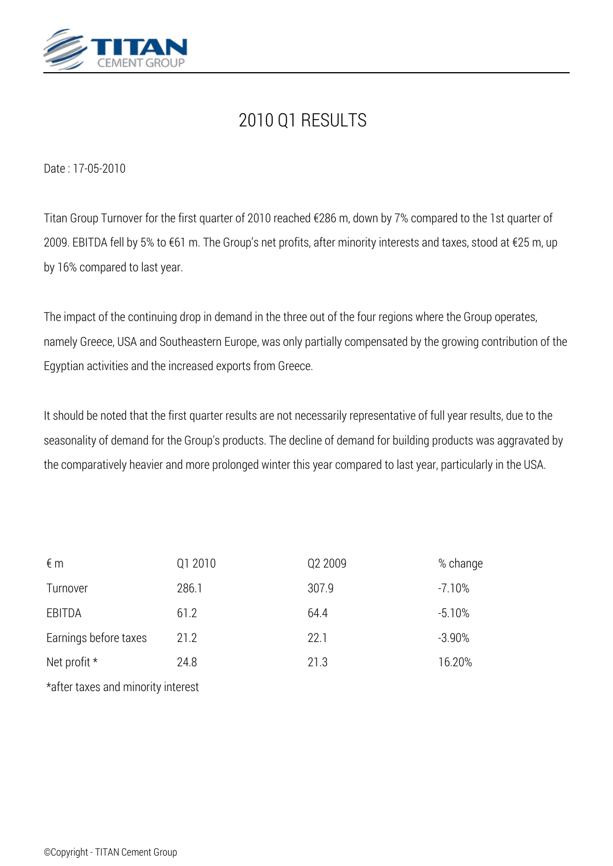

## *2010 Q1 RESULTS*

*Date : 17-05-2010*

*Titan Group Turnover for the first quarter of 2010 reached €286 m, down by 7% compared to the 1st quarter of 2009. EBITDA fell by 5% to €61 m. The Group's net profits, after minority interests and taxes, stood at €25 m, up by 16% compared to last year.*

*The impact of the continuing drop in demand in the three out of the four regions where the Group operates, namely Greece, USA and Southeastern Europe, was only partially compensated by the growing contribution of the Egyptian activities and the increased exports from Greece.*

*It should be noted that the first quarter results are not necessarily representative of full year results, due to the seasonality of demand for the Group's products. The decline of demand for building products was aggravated by the comparatively heavier and more prolonged winter this year compared to last year, particularly in the USA.*

| $\notin$ m            | Q1 2010 | Q2 2009 | % change |
|-----------------------|---------|---------|----------|
| Turnover              | 286.1   | 307.9   | $-7.10%$ |
| EBITDA                | 61.2    | 64.4    | $-5.10%$ |
| Earnings before taxes | 21.2    | 22.1    | $-3.90%$ |
| Net profit $*$        | 24.8    | 21.3    | 16.20%   |
|                       |         |         |          |

*\*after taxes and minority interest*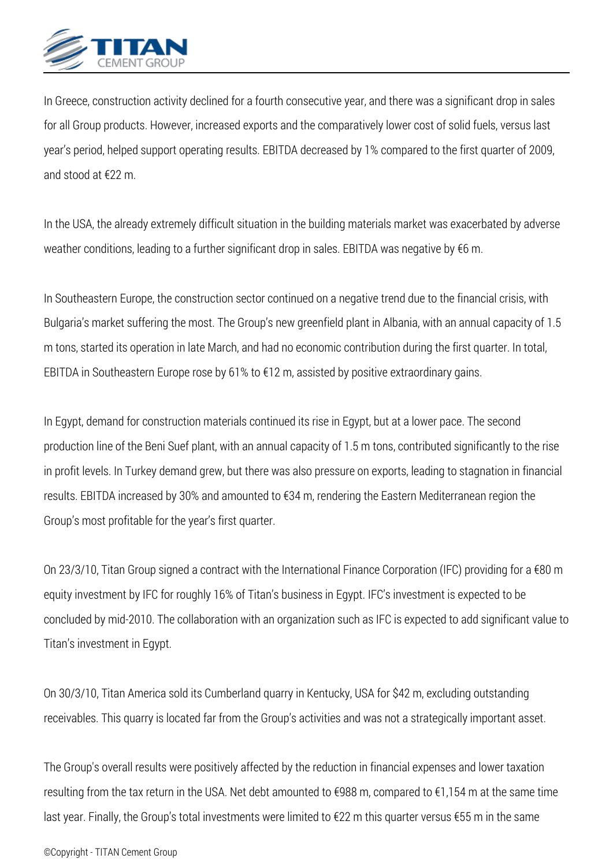

*In Greece, construction activity declined for a fourth consecutive year, and there was a significant drop in sales for all Group products. However, increased exports and the comparatively lower cost of solid fuels, versus last year's period, helped support operating results. EBITDA decreased by 1% compared to the first quarter of 2009, and stood at €22 m.*

*In the USA, the already extremely difficult situation in the building materials market was exacerbated by adverse weather conditions, leading to a further significant drop in sales. EBITDA was negative by €6 m.*

*In Southeastern Europe, the construction sector continued on a negative trend due to the financial crisis, with Bulgaria's market suffering the most. The Group's new greenfield plant in Albania, with an annual capacity of 1.5 m tons, started its operation in late March, and had no economic contribution during the first quarter. In total, EBITDA in Southeastern Europe rose by 61% to €12 m, assisted by positive extraordinary gains.*

*In Egypt, demand for construction materials continued its rise in Egypt, but at a lower pace. The second production line of the Beni Suef plant, with an annual capacity of 1.5 m tons, contributed significantly to the rise in profit levels. In Turkey demand grew, but there was also pressure on exports, leading to stagnation in financial results. EBITDA increased by 30% and amounted to €34 m, rendering the Eastern Mediterranean region the Group's most profitable for the year's first quarter.*

*On 23/3/10, Titan Group signed a contract with the International Finance Corporation (IFC) providing for a €80 m equity investment by IFC for roughly 16% of Titan's business in Egypt. IFC's investment is expected to be concluded by mid-2010. The collaboration with an organization such as IFC is expected to add significant value to Titan's investment in Egypt.*

*On 30/3/10, Titan America sold its Cumberland quarry in Kentucky, USA for \$42 m, excluding outstanding receivables. This quarry is located far from the Group's activities and was not a strategically important asset.*

*The Group's overall results were positively affected by the reduction in financial expenses and lower taxation resulting from the tax return in the USA. Net debt amounted to €988 m, compared to €1,154 m at the same time last year. Finally, the Group's total investments were limited to €22 m this quarter versus €55 m in the same*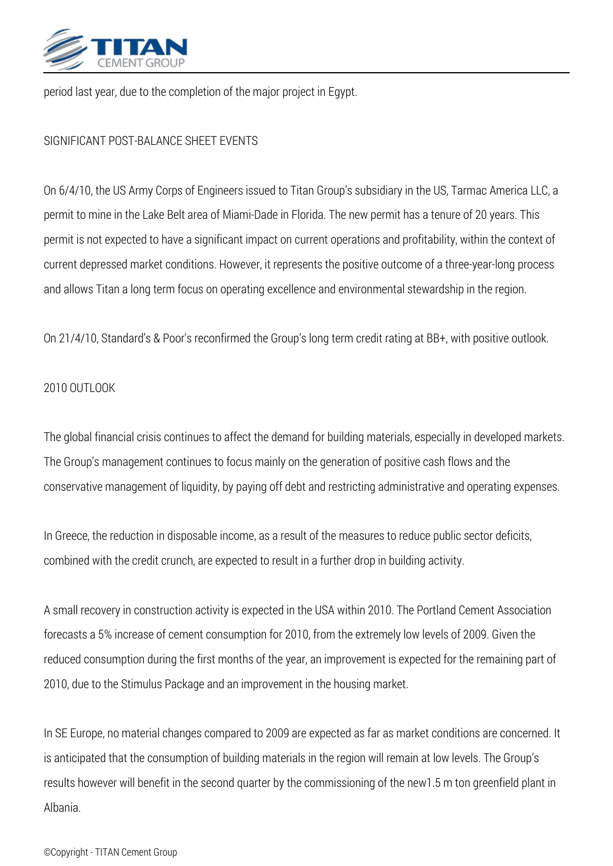

*period last year, due to the completion of the major project in Egypt.*

## *SIGNIFICANT POST-BALANCE SHEET EVENTS*

*On 6/4/10, the US Army Corps of Engineers issued to Titan Group's subsidiary in the US, Tarmac America LLC, a permit to mine in the Lake Belt area of Miami-Dade in Florida. The new permit has a tenure of 20 years. This permit is not expected to have a significant impact on current operations and profitability, within the context of current depressed market conditions. However, it represents the positive outcome of a three-year-long process and allows Titan a long term focus on operating excellence and environmental stewardship in the region.*

*On 21/4/10, Standard's & Poor's reconfirmed the Group's long term credit rating at BB+, with positive outlook.*

## *2010 OUTLOOK*

*The global financial crisis continues to affect the demand for building materials, especially in developed markets. The Group's management continues to focus mainly on the generation of positive cash flows and the conservative management of liquidity, by paying off debt and restricting administrative and operating expenses.*

*In Greece, the reduction in disposable income, as a result of the measures to reduce public sector deficits, combined with the credit crunch, are expected to result in a further drop in building activity.*

*A small recovery in construction activity is expected in the USA within 2010. The Portland Cement Association forecasts a 5% increase of cement consumption for 2010, from the extremely low levels of 2009. Given the reduced consumption during the first months of the year, an improvement is expected for the remaining part of 2010, due to the Stimulus Package and an improvement in the housing market.*

*In SE Europe, no material changes compared to 2009 are expected as far as market conditions are concerned. It is anticipated that the consumption of building materials in the region will remain at low levels. The Group's results however will benefit in the second quarter by the commissioning of the new1.5 m ton greenfield plant in Albania.*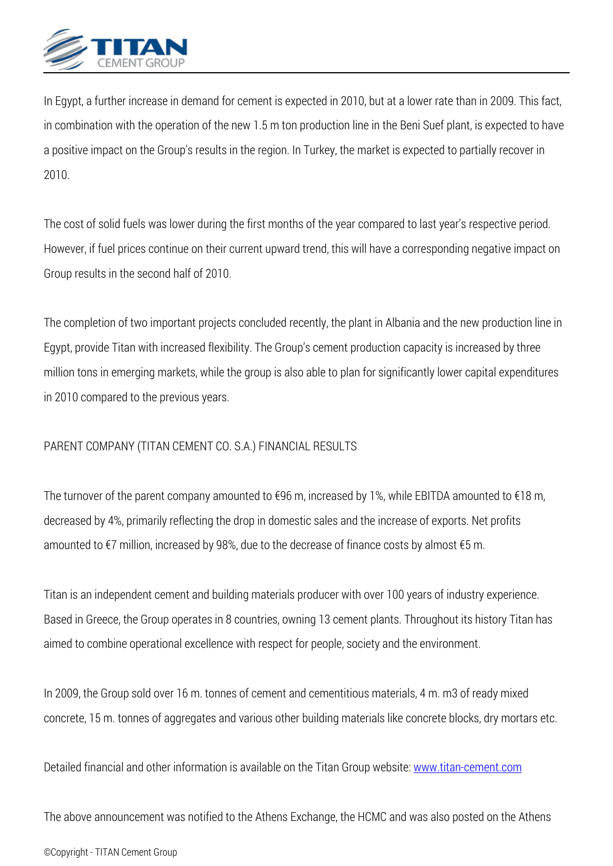

*In Egypt, a further increase in demand for cement is expected in 2010, but at a lower rate than in 2009. This fact, in combination with the operation of the new 1.5 m ton production line in the Beni Suef plant, is expected to have a positive impact on the Group's results in the region. In Turkey, the market is expected to partially recover in 2010.*

*The cost of solid fuels was lower during the first months of the year compared to last year's respective period. However, if fuel prices continue on their current upward trend, this will have a corresponding negative impact on Group results in the second half of 2010.*

*The completion of two important projects concluded recently, the plant in Albania and the new production line in Egypt, provide Titan with increased flexibility. The Group's cement production capacity is increased by three million tons in emerging markets, while the group is also able to plan for significantly lower capital expenditures in 2010 compared to the previous years.*

## *PARENT COMPANY (TITAN CEMENT CO. S.A.) FINANCIAL RESULTS*

*The turnover of the parent company amounted to €96 m, increased by 1%, while EBITDA amounted to €18 m, decreased by 4%, primarily reflecting the drop in domestic sales and the increase of exports. Net profits amounted to €7 million, increased by 98%, due to the decrease of finance costs by almost €5 m.*

*Titan is an independent cement and building materials producer with over 100 years of industry experience. Based in Greece, the Group operates in 8 countries, owning 13 cement plants. Throughout its history Titan has aimed to combine operational excellence with respect for people, society and the environment.*

*In 2009, the Group sold over 16 m. tonnes of cement and cementitious materials, 4 m. m3 of ready mixed concrete, 15 m. tonnes of aggregates and various other building materials like concrete blocks, dry mortars etc.*

*Detailed financial and other information is available on the Titan Group website: [www.titan-cement.com](http://www.titan-cement.com/)* 

*The above announcement was notified to the Athens Exchange, the HCMC and was also posted on the Athens*